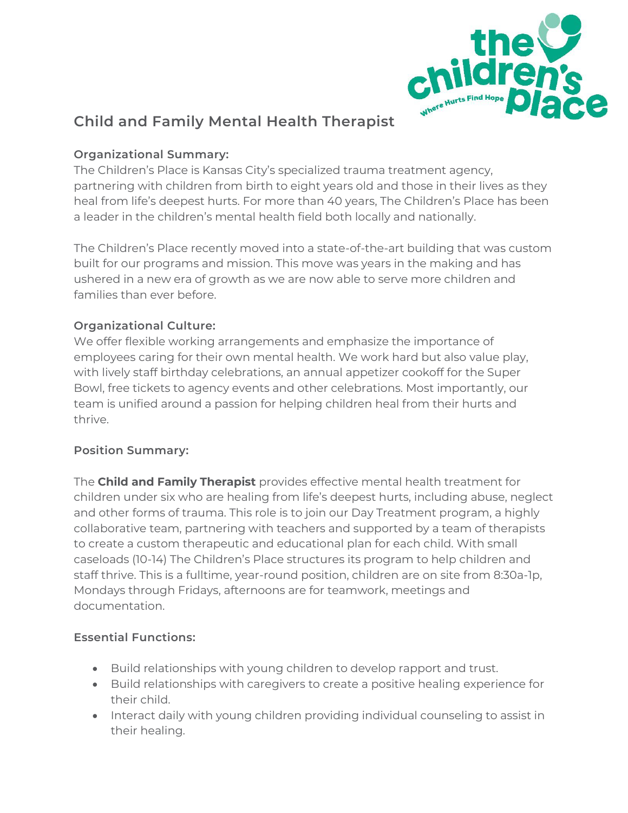

# **Child and Family Mental Health Therapist**

### **Organizational Summary:**

The Children's Place is Kansas City's specialized trauma treatment agency, partnering with children from birth to eight years old and those in their lives as they heal from life's deepest hurts. For more than 40 years, The Children's Place has been a leader in the children's mental health field both locally and nationally.

The Children's Place recently moved into a state-of-the-art building that was custom built for our programs and mission. This move was years in the making and has ushered in a new era of growth as we are now able to serve more children and families than ever before.

#### **Organizational Culture:**

We offer flexible working arrangements and emphasize the importance of employees caring for their own mental health. We work hard but also value play, with lively staff birthday celebrations, an annual appetizer cookoff for the Super Bowl, free tickets to agency events and other celebrations. Most importantly, our team is unified around a passion for helping children heal from their hurts and thrive.

#### **Position Summary:**

The **Child and Family Therapist** provides effective mental health treatment for children under six who are healing from life's deepest hurts, including abuse, neglect and other forms of trauma. This role is to join our Day Treatment program, a highly collaborative team, partnering with teachers and supported by a team of therapists to create a custom therapeutic and educational plan for each child. With small caseloads (10-14) The Children's Place structures its program to help children and staff thrive. This is a fulltime, year-round position, children are on site from 8:30a-1p, Mondays through Fridays, afternoons are for teamwork, meetings and documentation.

#### **Essential Functions:**

- Build relationships with young children to develop rapport and trust.
- Build relationships with caregivers to create a positive healing experience for their child.
- Interact daily with young children providing individual counseling to assist in their healing.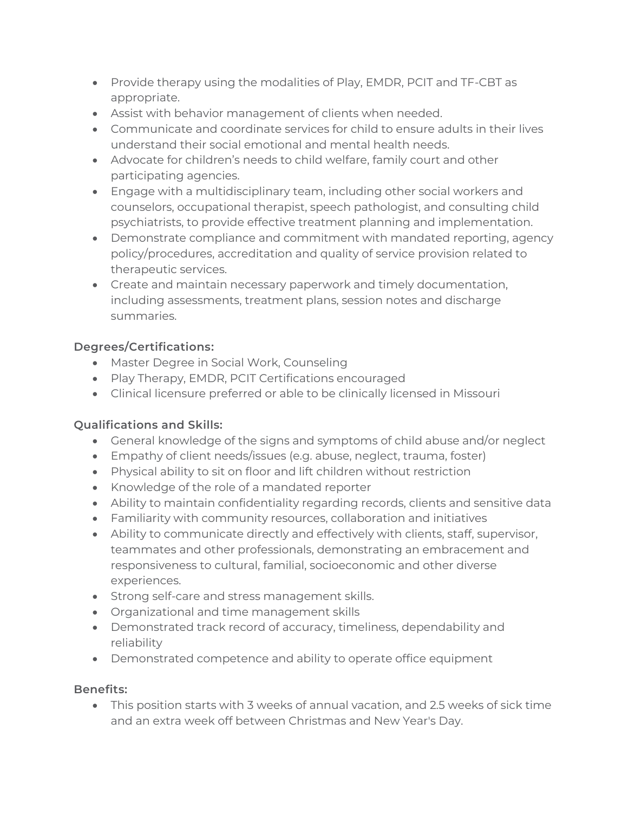- Provide therapy using the modalities of Play, EMDR, PCIT and TF-CBT as appropriate.
- Assist with behavior management of clients when needed.
- Communicate and coordinate services for child to ensure adults in their lives understand their social emotional and mental health needs.
- Advocate for children's needs to child welfare, family court and other participating agencies.
- Engage with a multidisciplinary team, including other social workers and counselors, occupational therapist, speech pathologist, and consulting child psychiatrists, to provide effective treatment planning and implementation.
- Demonstrate compliance and commitment with mandated reporting, agency policy/procedures, accreditation and quality of service provision related to therapeutic services.
- Create and maintain necessary paperwork and timely documentation, including assessments, treatment plans, session notes and discharge summaries.

## **Degrees/Certifications:**

- Master Degree in Social Work, Counseling
- Play Therapy, EMDR, PCIT Certifications encouraged
- Clinical licensure preferred or able to be clinically licensed in Missouri

#### **Qualifications and Skills:**

- General knowledge of the signs and symptoms of child abuse and/or neglect
- Empathy of client needs/issues (e.g. abuse, neglect, trauma, foster)
- Physical ability to sit on floor and lift children without restriction
- Knowledge of the role of a mandated reporter
- Ability to maintain confidentiality regarding records, clients and sensitive data
- Familiarity with community resources, collaboration and initiatives
- Ability to communicate directly and effectively with clients, staff, supervisor, teammates and other professionals, demonstrating an embracement and responsiveness to cultural, familial, socioeconomic and other diverse experiences.
- Strong self-care and stress management skills.
- Organizational and time management skills
- Demonstrated track record of accuracy, timeliness, dependability and reliability
- Demonstrated competence and ability to operate office equipment

#### **Benefits:**

• This position starts with 3 weeks of annual vacation, and 2.5 weeks of sick time and an extra week off between Christmas and New Year's Day.